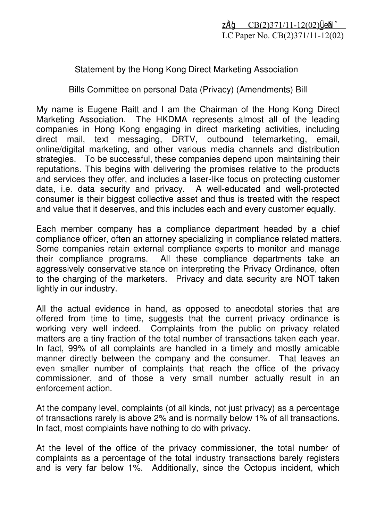## Statement by the Hong Kong Direct Marketing Association

Bills Committee on personal Data (Privacy) (Amendments) Bill

My name is Eugene Raitt and I am the Chairman of the Hong Kong Direct Marketing Association. The HKDMA represents almost all of the leading companies in Hong Kong engaging in direct marketing activities, including direct mail, text messaging, DRTV, outbound telemarketing, email, online/digital marketing, and other various media channels and distribution strategies. To be successful, these companies depend upon maintaining their reputations. This begins with delivering the promises relative to the products and services they offer, and includes a laser-like focus on protecting customer data, i.e. data security and privacy. A well-educated and well-protected consumer is their biggest collective asset and thus is treated with the respect and value that it deserves, and this includes each and every customer equally.

Each member company has a compliance department headed by a chief compliance officer, often an attorney specializing in compliance related matters. Some companies retain external compliance experts to monitor and manage their compliance programs. All these compliance departments take an aggressively conservative stance on interpreting the Privacy Ordinance, often to the charging of the marketers. Privacy and data security are NOT taken lightly in our industry.

All the actual evidence in hand, as opposed to anecdotal stories that are offered from time to time, suggests that the current privacy ordinance is working very well indeed. Complaints from the public on privacy related matters are a tiny fraction of the total number of transactions taken each year. In fact, 99% of all complaints are handled in a timely and mostly amicable manner directly between the company and the consumer. That leaves an even smaller number of complaints that reach the office of the privacy commissioner, and of those a very small number actually result in an enforcement action.

At the company level, complaints (of all kinds, not just privacy) as a percentage of transactions rarely is above 2% and is normally below 1% of all transactions. In fact, most complaints have nothing to do with privacy.

At the level of the office of the privacy commissioner, the total number of complaints as a percentage of the total industry transactions barely registers and is very far below 1%. Additionally, since the Octopus incident, which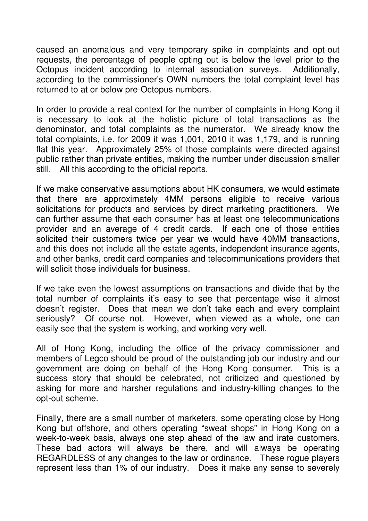caused an anomalous and very temporary spike in complaints and opt-out requests, the percentage of people opting out is below the level prior to the Octopus incident according to internal association surveys. Additionally, according to the commissioner's OWN numbers the total complaint level has returned to at or below pre-Octopus numbers.

In order to provide a real context for the number of complaints in Hong Kong it is necessary to look at the holistic picture of total transactions as the denominator, and total complaints as the numerator. We already know the total complaints, i.e. for 2009 it was 1,001, 2010 it was 1,179, and is running flat this year. Approximately 25% of those complaints were directed against public rather than private entities, making the number under discussion smaller still. All this according to the official reports.

If we make conservative assumptions about HK consumers, we would estimate that there are approximately 4MM persons eligible to receive various solicitations for products and services by direct marketing practitioners. We can further assume that each consumer has at least one telecommunications provider and an average of 4 credit cards. If each one of those entities solicited their customers twice per year we would have 40MM transactions, and this does not include all the estate agents, independent insurance agents, and other banks, credit card companies and telecommunications providers that will solicit those individuals for business.

If we take even the lowest assumptions on transactions and divide that by the total number of complaints it's easy to see that percentage wise it almost doesn't register. Does that mean we don't take each and every complaint seriously? Of course not. However, when viewed as a whole, one can easily see that the system is working, and working very well.

All of Hong Kong, including the office of the privacy commissioner and members of Legco should be proud of the outstanding job our industry and our government are doing on behalf of the Hong Kong consumer. This is a success story that should be celebrated, not criticized and questioned by asking for more and harsher regulations and industry-killing changes to the opt-out scheme.

Finally, there are a small number of marketers, some operating close by Hong Kong but offshore, and others operating "sweat shops" in Hong Kong on a week-to-week basis, always one step ahead of the law and irate customers. These bad actors will always be there, and will always be operating REGARDLESS of any changes to the law or ordinance. These rogue players represent less than 1% of our industry. Does it make any sense to severely